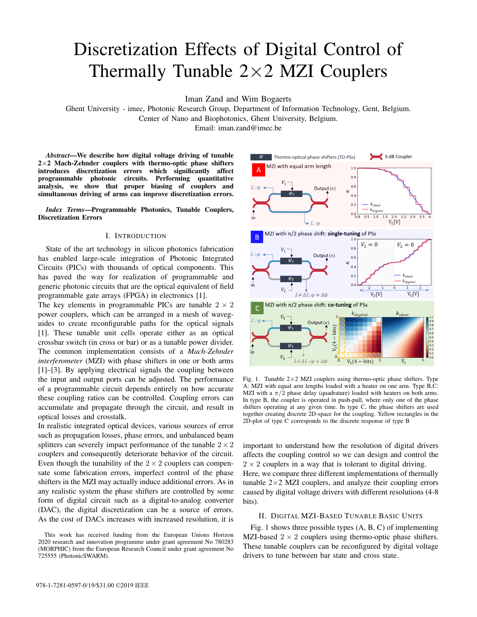# Discretization Effects of Digital Control of Thermally Tunable  $2\times2$  MZI Couplers

Iman Zand and Wim Bogaerts

Ghent University - imec, Photonic Research Group, Department of Information Technology, Gent, Belgium.

Center of Nano and Biophotonics, Ghent University, Belgium.

Email: iman.zand@imec.be

*Abstract*—We describe how digital voltage driving of tunable  $2\times2$  Mach-Zehnder couplers with thermo-optic phase shifters introduces discretization errors which significantly affect programmable photonic circuits. Performing quantitative analysis, we show that proper biasing of couplers and simultaneous driving of arms can improve discretization errors.

*Index Terms*—Programmable Photonics, Tunable Couplers, Discretization Errors

## I. INTRODUCTION

State of the art technology in silicon photonics fabrication has enabled large-scale integration of Photonic Integrated Circuits (PICs) with thousands of optical components. This has paved the way for realization of programmable and generic photonic circuits that are the optical equivalent of field programmable gate arrays (FPGA) in electronics [1].

The key elements in programmable PICs are tunable  $2 \times 2$ power couplers, which can be arranged in a mesh of waveguides to create reconfigurable paths for the optical signals [1]. These tunable unit cells operate either as an optical crossbar switch (in cross or bar) or as a tunable power divider. The common implementation consists of a *Mach-Zehnder interferometer* (MZI) with phase shifters in one or both arms [1]–[3]. By applying electrical signals the coupling between the input and output ports can be adjusted. The performance of a programmable circuit depends entirely on how accurate these coupling ratios can be controlled. Coupling errors can accumulate and propagate through the circuit, and result in optical losses and crosstalk.

In realistic integrated optical devices, various sources of error such as propagation losses, phase errors, and unbalanced beam splitters can severely impact performance of the tunable  $2 \times 2$ couplers and consequently deteriorate behavior of the circuit. Even though the tunability of the  $2 \times 2$  couplers can compensate some fabrication errors, imperfect control of the phase shifters in the MZI may actually induce additional errors. As in any realistic system the phase shifters are controlled by some form of digital circuit such as a digital-to-analog converter (DAC), the digital discretization can be a source of errors. As the cost of DACs increases with increased resolution, it is



Fig. 1. Tunable  $2\times2$  MZI couplers using thermo-optic phase shifters. Type A: MZI with equal arm lengths loaded with a heater on one arm. Type B,C: MZI with a  $\pi/2$  phase delay (quadrature) loaded with heaters on both arms. In type B, the coupler is operated in push-pull, where only one of the phase shifters operating at any given time. In type C, the phase shifters are used together creating discrete 2D-space for the coupling. Yellow rectangles in the 2D-plot of type C corresponds to the discrete response of type B

important to understand how the resolution of digital drivers affects the coupling control so we can design and control the  $2 \times 2$  couplers in a way that is tolerant to digital driving. Here, we compare three different implementations of thermally tunable  $2\times2$  MZI couplers, and analyze their coupling errors caused by digital voltage drivers with different resolutions (4-8 bits).

### II. DIGITAL MZI-BASED TUNABLE BASIC UNITS

Fig. 1 shows three possible types (A, B, C) of implementing MZI-based  $2 \times 2$  couplers using thermo-optic phase shifters. These tunable couplers can be reconfigured by digital voltage drivers to tune between bar state and cross state.

This work has received funding from the European Unions Horizon 2020 research and innovation programme under grant agreement No 780283 (MORPHIC) from the European Research Council under grant agreement No 725555 (PhotonicSWARM).